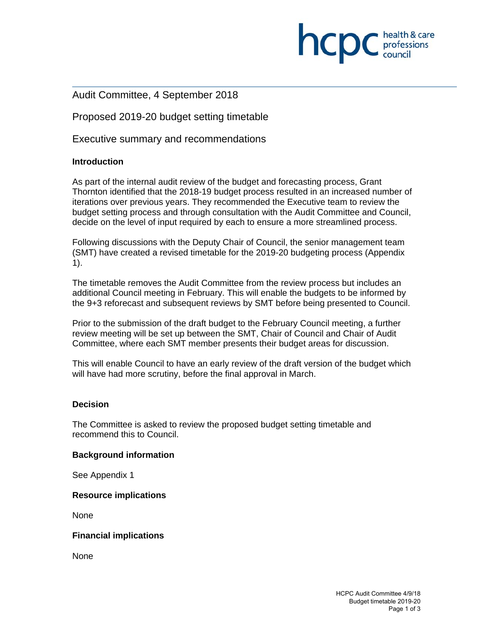### Audit Committee, 4 September 2018

Proposed 2019-20 budget setting timetable

Executive summary and recommendations

#### **Introduction**

As part of the internal audit review of the budget and forecasting process, Grant Thornton identified that the 2018-19 budget process resulted in an increased number of iterations over previous years. They recommended the Executive team to review the budget setting process and through consultation with the Audit Committee and Council, decide on the level of input required by each to ensure a more streamlined process.

Following discussions with the Deputy Chair of Council, the senior management team (SMT) have created a revised timetable for the 2019-20 budgeting process (Appendix 1).

The timetable removes the Audit Committee from the review process but includes an additional Council meeting in February. This will enable the budgets to be informed by the 9+3 reforecast and subsequent reviews by SMT before being presented to Council.

Prior to the submission of the draft budget to the February Council meeting, a further review meeting will be set up between the SMT, Chair of Council and Chair of Audit Committee, where each SMT member presents their budget areas for discussion.

This will enable Council to have an early review of the draft version of the budget which will have had more scrutiny, before the final approval in March.

#### **Decision**

The Committee is asked to review the proposed budget setting timetable and recommend this to Council.

#### **Background information**

See Appendix 1

#### **Resource implications**

None

#### **Financial implications**

None

**INCID** C professions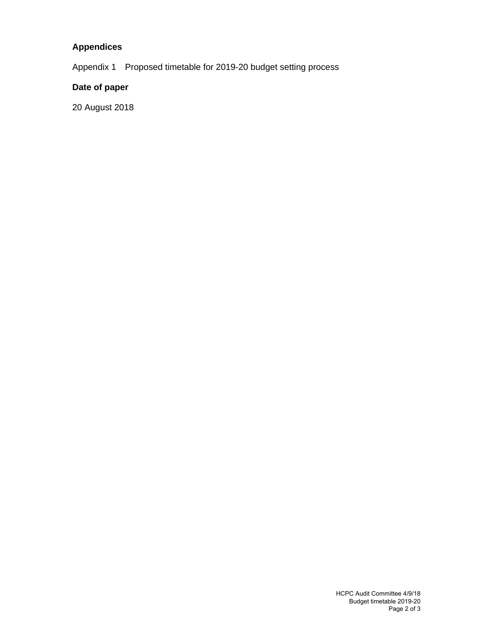## **Appendices**

Appendix 1 Proposed timetable for 2019-20 budget setting process

## **Date of paper**

20 August 2018